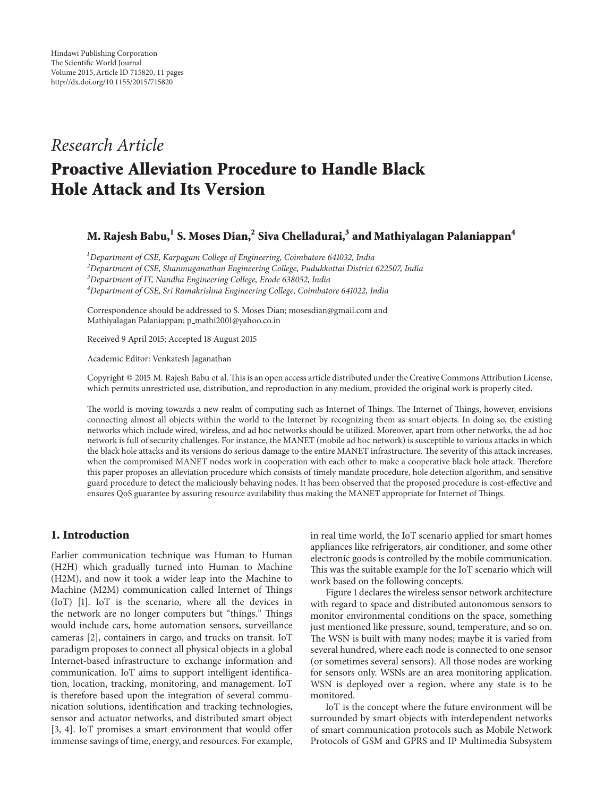## *Research Article*

# **Proactive Alleviation Procedure to Handle Black Hole Attack and Its Version**

### **M. Rajesh Babu,<sup>1</sup> S. Moses Dian,2 Siva Chelladurai,3 and Mathiyalagan Palaniappan<sup>4</sup>**

 *Department of CSE, Karpagam College of Engineering, Coimbatore 641032, India Department of CSE, Shanmuganathan Engineering College, Pudukkottai District 622507, India Department of IT, Nandha Engineering College, Erode 638052, India Department of CSE, Sri Ramakrishna Engineering College, Coimbatore 641022, India*

Correspondence should be addressed to S. Moses Dian; mosesdian@gmail.com and Mathiyalagan Palaniappan; p mathi2001@yahoo.co.in

Received 9 April 2015; Accepted 18 August 2015

Academic Editor: Venkatesh Jaganathan

Copyright © 2015 M. Rajesh Babu et al.This is an open access article distributed under the Creative Commons Attribution License, which permits unrestricted use, distribution, and reproduction in any medium, provided the original work is properly cited.

The world is moving towards a new realm of computing such as Internet of Things. The Internet of Things, however, envisions connecting almost all objects within the world to the Internet by recognizing them as smart objects. In doing so, the existing networks which include wired, wireless, and ad hoc networks should be utilized. Moreover, apart from other networks, the ad hoc network is full of security challenges. For instance, the MANET (mobile ad hoc network) is susceptible to various attacks in which the black hole attacks and its versions do serious damage to the entire MANET infrastructure. The severity of this attack increases, when the compromised MANET nodes work in cooperation with each other to make a cooperative black hole attack. Therefore this paper proposes an alleviation procedure which consists of timely mandate procedure, hole detection algorithm, and sensitive guard procedure to detect the maliciously behaving nodes. It has been observed that the proposed procedure is cost-effective and ensures QoS guarantee by assuring resource availability thus making the MANET appropriate for Internet of Things.

### **1. Introduction**

Earlier communication technique was Human to Human (H2H) which gradually turned into Human to Machine (H2M), and now it took a wider leap into the Machine to Machine (M2M) communication called Internet of Things (IoT) [1]. IoT is the scenario, where all the devices in the network are no longer computers but "things." Things would include cars, home automation sensors, surveillance cameras [2], containers in cargo, and trucks on transit. IoT paradigm proposes to connect all physical objects in a global Internet-based infrastructure to exchange information and communication. IoT aims to support intelligent identification, location, tracking, monitoring, and management. IoT is therefore based upon the integration of several communication solutions, identification and tracking technologies, sensor and actuator networks, and distributed smart object [3, 4]. IoT promises a smart environment that would offer immense savings of time, energy, and resources. For example,

in real time world, the IoT scenario applied for smart homes appliances like refrigerators, air conditioner, and some other electronic goods is controlled by the mobile communication. This was the suitable example for the IoT scenario which will work based on the following concepts.

Figure 1 declares the wireless sensor network architecture with regard to space and distributed autonomous sensors to monitor environmental conditions on the space, something just mentioned like pressure, sound, temperature, and so on. The WSN is built with many nodes; maybe it is varied from several hundred, where each node is connected to one sensor (or sometimes several sensors). All those nodes are working for sensors only. WSNs are an area monitoring application. WSN is deployed over a region, where any state is to be monitored.

IoT is the concept where the future environment will be surrounded by smart objects with interdependent networks of smart communication protocols such as Mobile Network Protocols of GSM and GPRS and IP Multimedia Subsystem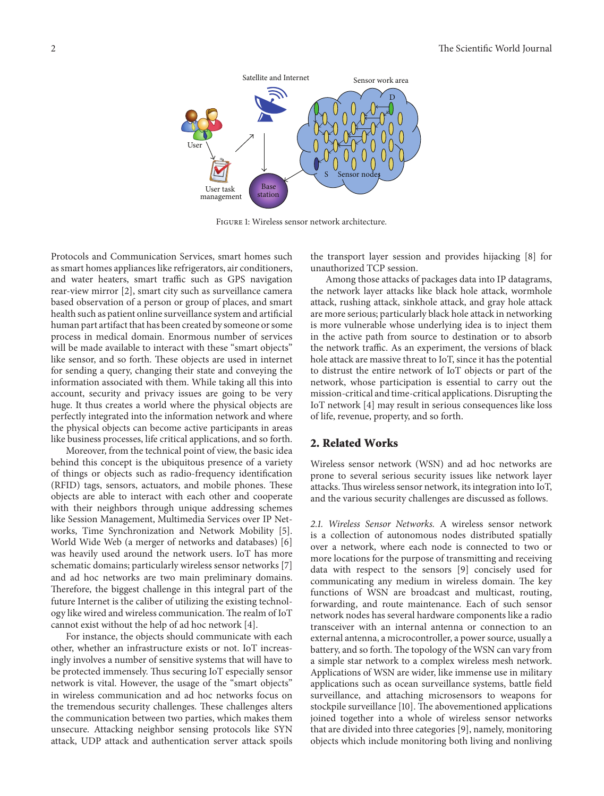

Figure 1: Wireless sensor network architecture.

Protocols and Communication Services, smart homes such as smart homes appliances like refrigerators, air conditioners, and water heaters, smart traffic such as GPS navigation rear-view mirror [2], smart city such as surveillance camera based observation of a person or group of places, and smart health such as patient online surveillance system and artificial human part artifact that has been created by someone or some process in medical domain. Enormous number of services will be made available to interact with these "smart objects" like sensor, and so forth. These objects are used in internet for sending a query, changing their state and conveying the information associated with them. While taking all this into account, security and privacy issues are going to be very huge. It thus creates a world where the physical objects are perfectly integrated into the information network and where the physical objects can become active participants in areas like business processes, life critical applications, and so forth.

Moreover, from the technical point of view, the basic idea behind this concept is the ubiquitous presence of a variety of things or objects such as radio-frequency identification (RFID) tags, sensors, actuators, and mobile phones. These objects are able to interact with each other and cooperate with their neighbors through unique addressing schemes like Session Management, Multimedia Services over IP Networks, Time Synchronization and Network Mobility [5]. World Wide Web (a merger of networks and databases) [6] was heavily used around the network users. IoT has more schematic domains; particularly wireless sensor networks [7] and ad hoc networks are two main preliminary domains. Therefore, the biggest challenge in this integral part of the future Internet is the caliber of utilizing the existing technology like wired and wireless communication. The realm of IoT cannot exist without the help of ad hoc network [4].

For instance, the objects should communicate with each other, whether an infrastructure exists or not. IoT increasingly involves a number of sensitive systems that will have to be protected immensely. Thus securing IoT especially sensor network is vital. However, the usage of the "smart objects" in wireless communication and ad hoc networks focus on the tremendous security challenges. These challenges alters the communication between two parties, which makes them unsecure. Attacking neighbor sensing protocols like SYN attack, UDP attack and authentication server attack spoils

the transport layer session and provides hijacking [8] for unauthorized TCP session.

Among those attacks of packages data into IP datagrams, the network layer attacks like black hole attack, wormhole attack, rushing attack, sinkhole attack, and gray hole attack are more serious; particularly black hole attack in networking is more vulnerable whose underlying idea is to inject them in the active path from source to destination or to absorb the network traffic. As an experiment, the versions of black hole attack are massive threat to IoT, since it has the potential to distrust the entire network of IoT objects or part of the network, whose participation is essential to carry out the mission-critical and time-critical applications. Disrupting the IoT network [4] may result in serious consequences like loss of life, revenue, property, and so forth.

### **2. Related Works**

Wireless sensor network (WSN) and ad hoc networks are prone to several serious security issues like network layer attacks.Thus wireless sensor network, its integration into IoT, and the various security challenges are discussed as follows.

*2.1. Wireless Sensor Networks.* A wireless sensor network is a collection of autonomous nodes distributed spatially over a network, where each node is connected to two or more locations for the purpose of transmitting and receiving data with respect to the sensors [9] concisely used for communicating any medium in wireless domain. The key functions of WSN are broadcast and multicast, routing, forwarding, and route maintenance. Each of such sensor network nodes has several hardware components like a radio transceiver with an internal antenna or connection to an external antenna, a microcontroller, a power source, usually a battery, and so forth. The topology of the WSN can vary from a simple star network to a complex wireless mesh network. Applications of WSN are wider, like immense use in military applications such as ocean surveillance systems, battle field surveillance, and attaching microsensors to weapons for stockpile surveillance [10]. The abovementioned applications joined together into a whole of wireless sensor networks that are divided into three categories [9], namely, monitoring objects which include monitoring both living and nonliving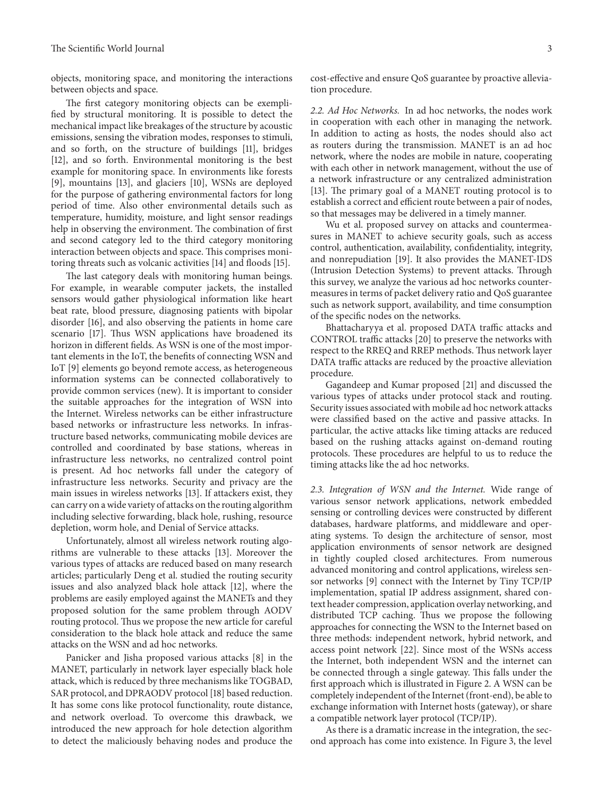objects, monitoring space, and monitoring the interactions between objects and space.

The first category monitoring objects can be exemplified by structural monitoring. It is possible to detect the mechanical impact like breakages of the structure by acoustic emissions, sensing the vibration modes, responses to stimuli, and so forth, on the structure of buildings [11], bridges [12], and so forth. Environmental monitoring is the best example for monitoring space. In environments like forests [9], mountains [13], and glaciers [10], WSNs are deployed for the purpose of gathering environmental factors for long period of time. Also other environmental details such as temperature, humidity, moisture, and light sensor readings help in observing the environment. The combination of first and second category led to the third category monitoring interaction between objects and space. This comprises monitoring threats such as volcanic activities [14] and floods [15].

The last category deals with monitoring human beings. For example, in wearable computer jackets, the installed sensors would gather physiological information like heart beat rate, blood pressure, diagnosing patients with bipolar disorder [16], and also observing the patients in home care scenario [17]. Thus WSN applications have broadened its horizon in different fields. As WSN is one of the most important elements in the IoT, the benefits of connecting WSN and IoT [9] elements go beyond remote access, as heterogeneous information systems can be connected collaboratively to provide common services (new). It is important to consider the suitable approaches for the integration of WSN into the Internet. Wireless networks can be either infrastructure based networks or infrastructure less networks. In infrastructure based networks, communicating mobile devices are controlled and coordinated by base stations, whereas in infrastructure less networks, no centralized control point is present. Ad hoc networks fall under the category of infrastructure less networks. Security and privacy are the main issues in wireless networks [13]. If attackers exist, they can carry on a wide variety of attacks on the routing algorithm including selective forwarding, black hole, rushing, resource depletion, worm hole, and Denial of Service attacks.

Unfortunately, almost all wireless network routing algorithms are vulnerable to these attacks [13]. Moreover the various types of attacks are reduced based on many research articles; particularly Deng et al. studied the routing security issues and also analyzed black hole attack [12], where the problems are easily employed against the MANETs and they proposed solution for the same problem through AODV routing protocol. Thus we propose the new article for careful consideration to the black hole attack and reduce the same attacks on the WSN and ad hoc networks.

Panicker and Jisha proposed various attacks [8] in the MANET, particularly in network layer especially black hole attack, which is reduced by three mechanisms like TOGBAD, SAR protocol, and DPRAODV protocol [18] based reduction. It has some cons like protocol functionality, route distance, and network overload. To overcome this drawback, we introduced the new approach for hole detection algorithm to detect the maliciously behaving nodes and produce the

cost-effective and ensure QoS guarantee by proactive alleviation procedure.

*2.2. Ad Hoc Networks.* In ad hoc networks, the nodes work in cooperation with each other in managing the network. In addition to acting as hosts, the nodes should also act as routers during the transmission. MANET is an ad hoc network, where the nodes are mobile in nature, cooperating with each other in network management, without the use of a network infrastructure or any centralized administration [13]. The primary goal of a MANET routing protocol is to establish a correct and efficient route between a pair of nodes, so that messages may be delivered in a timely manner.

Wu et al. proposed survey on attacks and countermeasures in MANET to achieve security goals, such as access control, authentication, availability, confidentiality, integrity, and nonrepudiation [19]. It also provides the MANET-IDS (Intrusion Detection Systems) to prevent attacks. Through this survey, we analyze the various ad hoc networks countermeasures in terms of packet delivery ratio and QoS guarantee such as network support, availability, and time consumption of the specific nodes on the networks.

Bhattacharyya et al. proposed DATA traffic attacks and CONTROL traffic attacks [20] to preserve the networks with respect to the RREQ and RREP methods. Thus network layer DATA traffic attacks are reduced by the proactive alleviation procedure.

Gagandeep and Kumar proposed [21] and discussed the various types of attacks under protocol stack and routing. Security issues associated with mobile ad hoc network attacks were classified based on the active and passive attacks. In particular, the active attacks like timing attacks are reduced based on the rushing attacks against on-demand routing protocols. These procedures are helpful to us to reduce the timing attacks like the ad hoc networks.

*2.3. Integration of WSN and the Internet.* Wide range of various sensor network applications, network embedded sensing or controlling devices were constructed by different databases, hardware platforms, and middleware and operating systems. To design the architecture of sensor, most application environments of sensor network are designed in tightly coupled closed architectures. From numerous advanced monitoring and control applications, wireless sensor networks [9] connect with the Internet by Tiny TCP/IP implementation, spatial IP address assignment, shared context header compression, application overlay networking, and distributed TCP caching. Thus we propose the following approaches for connecting the WSN to the Internet based on three methods: independent network, hybrid network, and access point network [22]. Since most of the WSNs access the Internet, both independent WSN and the internet can be connected through a single gateway. This falls under the first approach which is illustrated in Figure 2. A WSN can be completely independent of the Internet (front-end), be able to exchange information with Internet hosts (gateway), or share a compatible network layer protocol (TCP/IP).

As there is a dramatic increase in the integration, the second approach has come into existence. In Figure 3, the level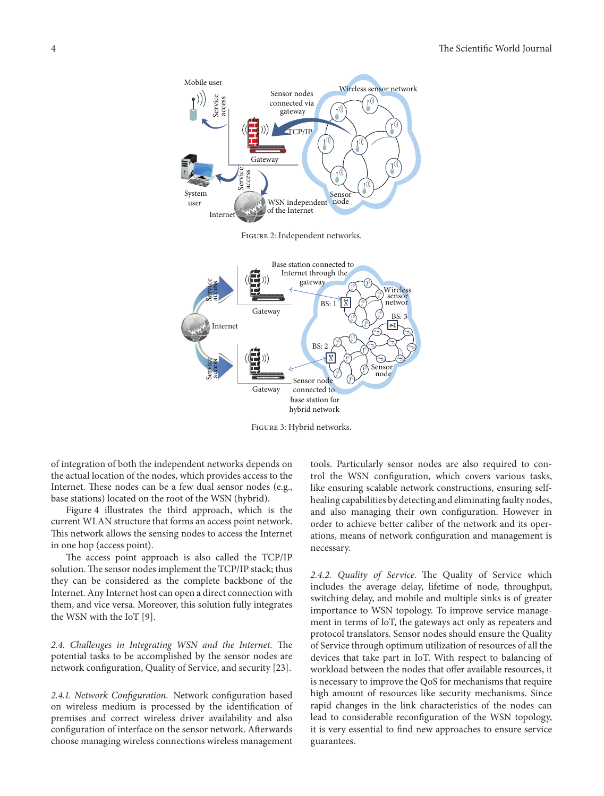

Figure 3: Hybrid networks.

of integration of both the independent networks depends on the actual location of the nodes, which provides access to the Internet. These nodes can be a few dual sensor nodes (e.g., base stations) located on the root of the WSN (hybrid).

Figure 4 illustrates the third approach, which is the current WLAN structure that forms an access point network. This network allows the sensing nodes to access the Internet in one hop (access point).

The access point approach is also called the TCP/IP solution. The sensor nodes implement the TCP/IP stack; thus they can be considered as the complete backbone of the Internet. Any Internet host can open a direct connection with them, and vice versa. Moreover, this solution fully integrates the WSN with the IoT [9].

*2.4. Challenges in Integrating WSN and the Internet.* The potential tasks to be accomplished by the sensor nodes are network configuration, Quality of Service, and security [23].

*2.4.1. Network Configuration.* Network configuration based on wireless medium is processed by the identification of premises and correct wireless driver availability and also configuration of interface on the sensor network. Afterwards choose managing wireless connections wireless management

tools. Particularly sensor nodes are also required to control the WSN configuration, which covers various tasks, like ensuring scalable network constructions, ensuring selfhealing capabilities by detecting and eliminating faulty nodes, and also managing their own configuration. However in order to achieve better caliber of the network and its operations, means of network configuration and management is necessary.

*2.4.2. Quality of Service.* The Quality of Service which includes the average delay, lifetime of node, throughput, switching delay, and mobile and multiple sinks is of greater importance to WSN topology. To improve service management in terms of IoT, the gateways act only as repeaters and protocol translators. Sensor nodes should ensure the Quality of Service through optimum utilization of resources of all the devices that take part in IoT. With respect to balancing of workload between the nodes that offer available resources, it is necessary to improve the QoS for mechanisms that require high amount of resources like security mechanisms. Since rapid changes in the link characteristics of the nodes can lead to considerable reconfiguration of the WSN topology, it is very essential to find new approaches to ensure service guarantees.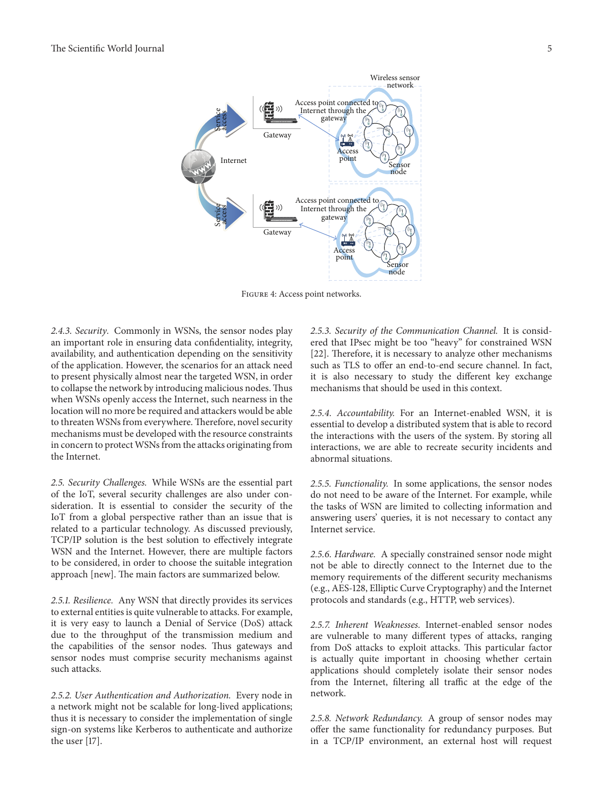

Figure 4: Access point networks.

*2.4.3. Security.* Commonly in WSNs, the sensor nodes play an important role in ensuring data confidentiality, integrity, availability, and authentication depending on the sensitivity of the application. However, the scenarios for an attack need to present physically almost near the targeted WSN, in order to collapse the network by introducing malicious nodes. Thus when WSNs openly access the Internet, such nearness in the location will no more be required and attackers would be able to threaten WSNs from everywhere.Therefore, novel security mechanisms must be developed with the resource constraints in concern to protect WSNs from the attacks originating from the Internet.

*2.5. Security Challenges.* While WSNs are the essential part of the IoT, several security challenges are also under consideration. It is essential to consider the security of the IoT from a global perspective rather than an issue that is related to a particular technology. As discussed previously, TCP/IP solution is the best solution to effectively integrate WSN and the Internet. However, there are multiple factors to be considered, in order to choose the suitable integration approach [new]. The main factors are summarized below.

*2.5.1. Resilience.* Any WSN that directly provides its services to external entities is quite vulnerable to attacks. For example, it is very easy to launch a Denial of Service (DoS) attack due to the throughput of the transmission medium and the capabilities of the sensor nodes. Thus gateways and sensor nodes must comprise security mechanisms against such attacks.

*2.5.2. User Authentication and Authorization.* Every node in a network might not be scalable for long-lived applications; thus it is necessary to consider the implementation of single sign-on systems like Kerberos to authenticate and authorize the user [17].

*2.5.3. Security of the Communication Channel.* It is considered that IPsec might be too "heavy" for constrained WSN [22]. Therefore, it is necessary to analyze other mechanisms such as TLS to offer an end-to-end secure channel. In fact, it is also necessary to study the different key exchange mechanisms that should be used in this context.

*2.5.4. Accountability.* For an Internet-enabled WSN, it is essential to develop a distributed system that is able to record the interactions with the users of the system. By storing all interactions, we are able to recreate security incidents and abnormal situations.

*2.5.5. Functionality.* In some applications, the sensor nodes do not need to be aware of the Internet. For example, while the tasks of WSN are limited to collecting information and answering users' queries, it is not necessary to contact any Internet service.

*2.5.6. Hardware.* A specially constrained sensor node might not be able to directly connect to the Internet due to the memory requirements of the different security mechanisms (e.g., AES-128, Elliptic Curve Cryptography) and the Internet protocols and standards (e.g., HTTP, web services).

*2.5.7. Inherent Weaknesses.* Internet-enabled sensor nodes are vulnerable to many different types of attacks, ranging from DoS attacks to exploit attacks. This particular factor is actually quite important in choosing whether certain applications should completely isolate their sensor nodes from the Internet, filtering all traffic at the edge of the network.

*2.5.8. Network Redundancy.* A group of sensor nodes may offer the same functionality for redundancy purposes. But in a TCP/IP environment, an external host will request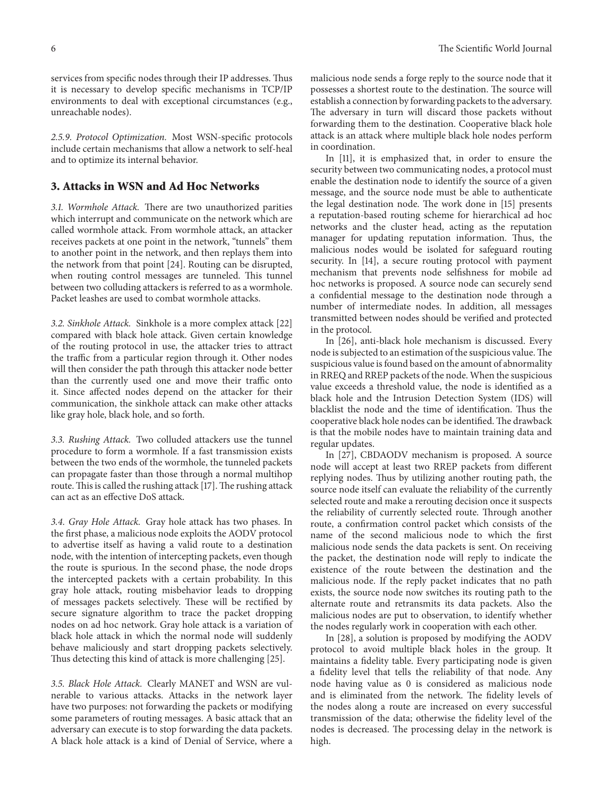services from specific nodes through their IP addresses. Thus it is necessary to develop specific mechanisms in TCP/IP environments to deal with exceptional circumstances (e.g., unreachable nodes).

*2.5.9. Protocol Optimization.* Most WSN-specific protocols include certain mechanisms that allow a network to self-heal and to optimize its internal behavior.

### **3. Attacks in WSN and Ad Hoc Networks**

*3.1. Wormhole Attack.* There are two unauthorized parities which interrupt and communicate on the network which are called wormhole attack. From wormhole attack, an attacker receives packets at one point in the network, "tunnels" them to another point in the network, and then replays them into the network from that point [24]. Routing can be disrupted, when routing control messages are tunneled. This tunnel between two colluding attackers is referred to as a wormhole. Packet leashes are used to combat wormhole attacks.

*3.2. Sinkhole Attack.* Sinkhole is a more complex attack [22] compared with black hole attack. Given certain knowledge of the routing protocol in use, the attacker tries to attract the traffic from a particular region through it. Other nodes will then consider the path through this attacker node better than the currently used one and move their traffic onto it. Since affected nodes depend on the attacker for their communication, the sinkhole attack can make other attacks like gray hole, black hole, and so forth.

*3.3. Rushing Attack.* Two colluded attackers use the tunnel procedure to form a wormhole. If a fast transmission exists between the two ends of the wormhole, the tunneled packets can propagate faster than those through a normal multihop route. This is called the rushing attack [17]. The rushing attack can act as an effective DoS attack.

*3.4. Gray Hole Attack.* Gray hole attack has two phases. In the first phase, a malicious node exploits the AODV protocol to advertise itself as having a valid route to a destination node, with the intention of intercepting packets, even though the route is spurious. In the second phase, the node drops the intercepted packets with a certain probability. In this gray hole attack, routing misbehavior leads to dropping of messages packets selectively. These will be rectified by secure signature algorithm to trace the packet dropping nodes on ad hoc network. Gray hole attack is a variation of black hole attack in which the normal node will suddenly behave maliciously and start dropping packets selectively. Thus detecting this kind of attack is more challenging [25].

*3.5. Black Hole Attack.* Clearly MANET and WSN are vulnerable to various attacks. Attacks in the network layer have two purposes: not forwarding the packets or modifying some parameters of routing messages. A basic attack that an adversary can execute is to stop forwarding the data packets. A black hole attack is a kind of Denial of Service, where a

malicious node sends a forge reply to the source node that it possesses a shortest route to the destination. The source will establish a connection by forwarding packets to the adversary. The adversary in turn will discard those packets without forwarding them to the destination. Cooperative black hole attack is an attack where multiple black hole nodes perform in coordination.

In [11], it is emphasized that, in order to ensure the security between two communicating nodes, a protocol must enable the destination node to identify the source of a given message, and the source node must be able to authenticate the legal destination node. The work done in [15] presents a reputation-based routing scheme for hierarchical ad hoc networks and the cluster head, acting as the reputation manager for updating reputation information. Thus, the malicious nodes would be isolated for safeguard routing security. In [14], a secure routing protocol with payment mechanism that prevents node selfishness for mobile ad hoc networks is proposed. A source node can securely send a confidential message to the destination node through a number of intermediate nodes. In addition, all messages transmitted between nodes should be verified and protected in the protocol.

In [26], anti-black hole mechanism is discussed. Every node is subjected to an estimation of the suspicious value.The suspicious value is found based on the amount of abnormality in RREQ and RREP packets of the node. When the suspicious value exceeds a threshold value, the node is identified as a black hole and the Intrusion Detection System (IDS) will blacklist the node and the time of identification. Thus the cooperative black hole nodes can be identified. The drawback is that the mobile nodes have to maintain training data and regular updates.

In [27], CBDAODV mechanism is proposed. A source node will accept at least two RREP packets from different replying nodes. Thus by utilizing another routing path, the source node itself can evaluate the reliability of the currently selected route and make a rerouting decision once it suspects the reliability of currently selected route. Through another route, a confirmation control packet which consists of the name of the second malicious node to which the first malicious node sends the data packets is sent. On receiving the packet, the destination node will reply to indicate the existence of the route between the destination and the malicious node. If the reply packet indicates that no path exists, the source node now switches its routing path to the alternate route and retransmits its data packets. Also the malicious nodes are put to observation, to identify whether the nodes regularly work in cooperation with each other.

In [28], a solution is proposed by modifying the AODV protocol to avoid multiple black holes in the group. It maintains a fidelity table. Every participating node is given a fidelity level that tells the reliability of that node. Any node having value as 0 is considered as malicious node and is eliminated from the network. The fidelity levels of the nodes along a route are increased on every successful transmission of the data; otherwise the fidelity level of the nodes is decreased. The processing delay in the network is high.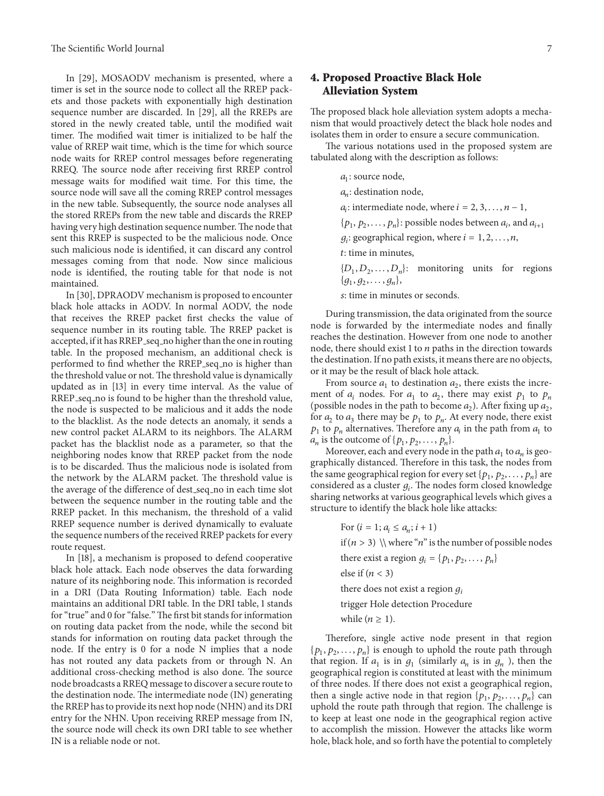In [29], MOSAODV mechanism is presented, where a timer is set in the source node to collect all the RREP packets and those packets with exponentially high destination sequence number are discarded. In [29], all the RREPs are stored in the newly created table, until the modified wait timer. The modified wait timer is initialized to be half the value of RREP wait time, which is the time for which source node waits for RREP control messages before regenerating RREQ. The source node after receiving first RREP control message waits for modified wait time. For this time, the source node will save all the coming RREP control messages in the new table. Subsequently, the source node analyses all the stored RREPs from the new table and discards the RREP having very high destination sequence number. The node that sent this RREP is suspected to be the malicious node. Once such malicious node is identified, it can discard any control messages coming from that node. Now since malicious node is identified, the routing table for that node is not maintained.

In [30], DPRAODV mechanism is proposed to encounter black hole attacks in AODV. In normal AODV, the node that receives the RREP packet first checks the value of sequence number in its routing table. The RREP packet is accepted, if it has RREP\_seq\_no higher than the one in routing table. In the proposed mechanism, an additional check is performed to find whether the RREP\_seq\_no is higher than the threshold value or not.The threshold value is dynamically updated as in [13] in every time interval. As the value of RREP\_seq\_no is found to be higher than the threshold value, the node is suspected to be malicious and it adds the node to the blacklist. As the node detects an anomaly, it sends a new control packet ALARM to its neighbors. The ALARM packet has the blacklist node as a parameter, so that the neighboring nodes know that RREP packet from the node is to be discarded. Thus the malicious node is isolated from the network by the ALARM packet. The threshold value is the average of the difference of dest seq no in each time slot between the sequence number in the routing table and the RREP packet. In this mechanism, the threshold of a valid RREP sequence number is derived dynamically to evaluate the sequence numbers of the received RREP packets for every route request.

In [18], a mechanism is proposed to defend cooperative black hole attack. Each node observes the data forwarding nature of its neighboring node. This information is recorded in a DRI (Data Routing Information) table. Each node maintains an additional DRI table. In the DRI table, 1 stands for "true" and 0 for "false."The first bit stands for information on routing data packet from the node, while the second bit stands for information on routing data packet through the node. If the entry is 0 for a node N implies that a node has not routed any data packets from or through N. An additional cross-checking method is also done. The source node broadcasts a RREQ message to discover a secure route to the destination node. The intermediate node (IN) generating the RREP has to provide its next hop node (NHN) and its DRI entry for the NHN. Upon receiving RREP message from IN, the source node will check its own DRI table to see whether IN is a reliable node or not.

### **4. Proposed Proactive Black Hole Alleviation System**

The proposed black hole alleviation system adopts a mechanism that would proactively detect the black hole nodes and isolates them in order to ensure a secure communication.

The various notations used in the proposed system are tabulated along with the description as follows:

> $a_1$ : source node,  $a_n$ : destination node,  $a_i$ : intermediate node, where  $i = 2, 3, ..., n - 1$ ,  $\{p_1, p_2, \ldots, p_n\}$ : possible nodes between  $a_i$ , and  $a_{i+1}$  $g_i$ : geographical region, where  $i = 1, 2, \ldots, n$ , t: time in minutes,  ${D_1, D_2,..., D_n}$ : monitoring units for regions  $\{q_1, q_2, \ldots, q_n\},\$

: time in minutes or seconds.

During transmission, the data originated from the source node is forwarded by the intermediate nodes and finally reaches the destination. However from one node to another node, there should exist  $1$  to  $n$  paths in the direction towards the destination. If no path exists, it means there are no objects, or it may be the result of black hole attack.

From source  $a_1$  to destination  $a_2$ , there exists the increment of  $a_i$  nodes. For  $a_1$  to  $a_2$ , there may exist  $p_1$  to  $p_n$ (possible nodes in the path to become  $a_2$ ). After fixing up  $a_2$ , for  $a_2$  to  $a_3$  there may be  $p_1$  to  $p_n$ . At every node, there exist  $p_1$  to  $p_n$  alternatives. Therefore any  $a_i$  in the path from  $a_1$  to  $a_n$  is the outcome of  $\{p_1, p_2, \ldots, p_n\}.$ 

Moreover, each and every node in the path  $a_1$  to  $a_n$  is geographically distanced. Therefore in this task, the nodes from the same geographical region for every set  $\{p_1, p_2, \ldots, p_n\}$  are considered as a cluster  $g_i$ . The nodes form closed knowledge sharing networks at various geographical levels which gives a structure to identify the black hole like attacks:

> For  $(i = 1; a_i \le a_n; i + 1)$ if  $(n > 3)$  \\where "n" is the number of possible nodes there exist a region  $g_i = \{p_1, p_2, \ldots, p_n\}$ else if  $(n < 3)$ there does not exist a region  $q_i$ trigger Hole detection Procedure while  $(n \geq 1)$ .

Therefore, single active node present in that region  $\{p_1, p_2, \ldots, p_n\}$  is enough to uphold the route path through that region. If  $a_1$  is in  $g_1$  (similarly  $a_n$  is in  $g_n$ ), then the geographical region is constituted at least with the minimum of three nodes. If there does not exist a geographical region, then a single active node in that region  $\{p_1, p_2, \ldots, p_n\}$  can uphold the route path through that region. The challenge is to keep at least one node in the geographical region active to accomplish the mission. However the attacks like worm hole, black hole, and so forth have the potential to completely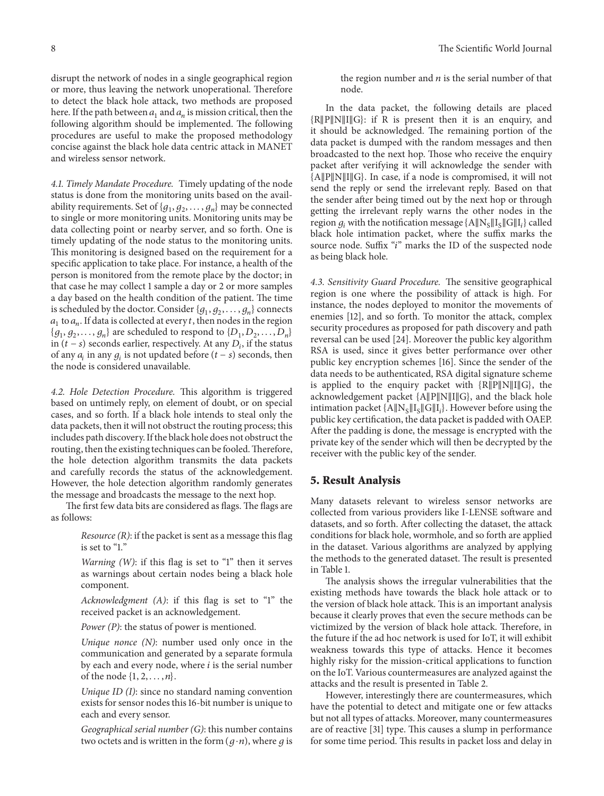disrupt the network of nodes in a single geographical region or more, thus leaving the network unoperational. Therefore to detect the black hole attack, two methods are proposed here. If the path between  $a_1$  and  $a_n$  is mission critical, then the following algorithm should be implemented. The following procedures are useful to make the proposed methodology concise against the black hole data centric attack in MANET and wireless sensor network.

*4.1. Timely Mandate Procedure.* Timely updating of the node status is done from the monitoring units based on the availability requirements. Set of  $\{g_1, g_2, \ldots, g_n\}$  may be connected to single or more monitoring units. Monitoring units may be data collecting point or nearby server, and so forth. One is timely updating of the node status to the monitoring units. This monitoring is designed based on the requirement for a specific application to take place. For instance, a health of the person is monitored from the remote place by the doctor; in that case he may collect 1 sample a day or 2 or more samples a day based on the health condition of the patient. The time is scheduled by the doctor. Consider  $\{g_1, g_2, \ldots, g_n\}$  connects  $a_1$  to  $a_n$ . If data is collected at every t, then nodes in the region  $\{g_1, g_2, \ldots, g_n\}$  are scheduled to respond to  $\{D_1, D_2, \ldots, D_n\}$ in  $(t - s)$  seconds earlier, respectively. At any  $D_i$ , if the status of any  $a_i$  in any  $q_i$  is not updated before  $(t - s)$  seconds, then the node is considered unavailable.

*4.2. Hole Detection Procedure.* This algorithm is triggered based on untimely reply, on element of doubt, or on special cases, and so forth. If a black hole intends to steal only the data packets, then it will not obstruct the routing process; this includes path discovery. If the black hole does not obstruct the routing, then the existing techniques can be fooled.Therefore, the hole detection algorithm transmits the data packets and carefully records the status of the acknowledgement. However, the hole detection algorithm randomly generates the message and broadcasts the message to the next hop.

The first few data bits are considered as flags. The flags are as follows:

> *Resource (R)*: if the packet is sent as a message this flag is set to "1."

> *Warning (W)*: if this flag is set to "1" then it serves as warnings about certain nodes being a black hole component.

> *Acknowledgment (A)*: if this flag is set to "1" the received packet is an acknowledgement.

*Power (P)*: the status of power is mentioned.

*Unique nonce (N)*: number used only once in the communication and generated by a separate formula by each and every node, where  $i$  is the serial number of the node  $\{1, 2, \ldots, n\}$ .

*Unique ID (I)*: since no standard naming convention exists for sensor nodes this 16-bit number is unique to each and every sensor.

*Geographical serial number (G)*: this number contains two octets and is written in the form  $(q \cdot n)$ , where q is the region number and  $n$  is the serial number of that node.

In the data packet, the following details are placed  ${R||P||N||I||G}$ : if R is present then it is an enquiry, and it should be acknowledged. The remaining portion of the data packet is dumped with the random messages and then broadcasted to the next hop. Those who receive the enquiry packet after verifying it will acknowledge the sender with {A‖P‖N‖I‖G}. In case, if a node is compromised, it will not send the reply or send the irrelevant reply. Based on that the sender after being timed out by the next hop or through getting the irrelevant reply warns the other nodes in the region  $q_i$  with the notification message  $\{A \| N_s \| I_s \| G \| I_i\}$  called black hole intimation packet, where the suffix marks the source node. Suffix "i" marks the ID of the suspected node as being black hole.

*4.3. Sensitivity Guard Procedure.* The sensitive geographical region is one where the possibility of attack is high. For instance, the nodes deployed to monitor the movements of enemies [12], and so forth. To monitor the attack, complex security procedures as proposed for path discovery and path reversal can be used [24]. Moreover the public key algorithm RSA is used, since it gives better performance over other public key encryption schemes [16]. Since the sender of the data needs to be authenticated, RSA digital signature scheme is applied to the enquiry packet with  $\{R\|P\|N\|I\|G\}$ , the acknowledgement packet {A‖P‖N‖I‖G}, and the black hole intimation packet  $\{A \| N_{S} \| I_{S} \| G \| I_{i} \}$ . However before using the public key certification, the data packet is padded with OAEP. After the padding is done, the message is encrypted with the private key of the sender which will then be decrypted by the receiver with the public key of the sender.

### **5. Result Analysis**

Many datasets relevant to wireless sensor networks are collected from various providers like I-LENSE software and datasets, and so forth. After collecting the dataset, the attack conditions for black hole, wormhole, and so forth are applied in the dataset. Various algorithms are analyzed by applying the methods to the generated dataset. The result is presented in Table 1.

The analysis shows the irregular vulnerabilities that the existing methods have towards the black hole attack or to the version of black hole attack. This is an important analysis because it clearly proves that even the secure methods can be victimized by the version of black hole attack. Therefore, in the future if the ad hoc network is used for IoT, it will exhibit weakness towards this type of attacks. Hence it becomes highly risky for the mission-critical applications to function on the IoT. Various countermeasures are analyzed against the attacks and the result is presented in Table 2.

However, interestingly there are countermeasures, which have the potential to detect and mitigate one or few attacks but not all types of attacks. Moreover, many countermeasures are of reactive [31] type. This causes a slump in performance for some time period. This results in packet loss and delay in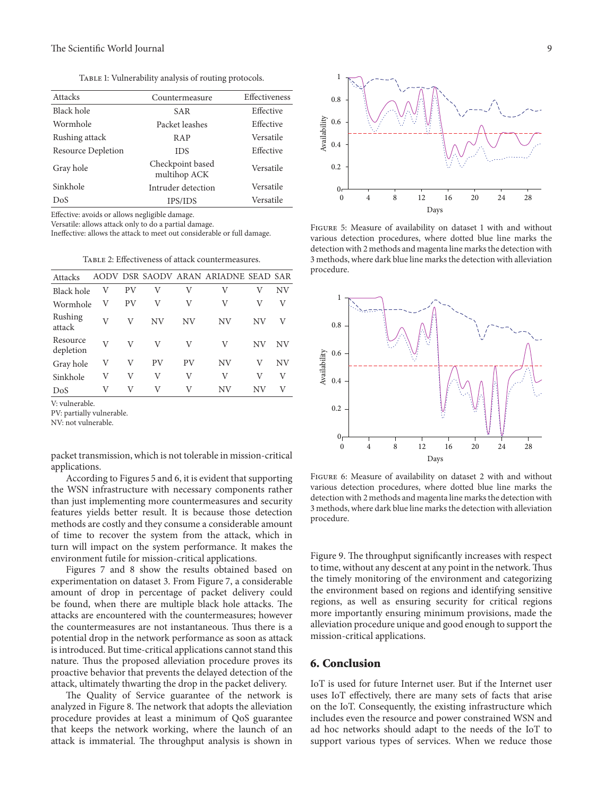TABLE 1: Vulnerability analysis of routing protocols.

| Attacks                   | Countermeasure                   | Effectiveness |
|---------------------------|----------------------------------|---------------|
| Black hole                | <b>SAR</b>                       | Effective     |
| Wormhole                  | Packet leashes                   | Effective     |
| Rushing attack            | RAP                              | Versatile     |
| <b>Resource Depletion</b> | <b>IDS</b>                       | Effective     |
| Gray hole                 | Checkpoint based<br>multihop ACK | Versatile     |
| Sinkhole                  | Intruder detection               | Versatile     |
| DoS                       | IPS/IDS                          | Versatile     |

Effective: avoids or allows negligible damage.

Versatile: allows attack only to do a partial damage.

Ineffective: allows the attack to meet out considerable or full damage.

Table 2: Effectiveness of attack countermeasures.

| Attacks               | AODV |    |    |    | DSR SAODV ARAN ARIADNE SEAD SAR |    |    |
|-----------------------|------|----|----|----|---------------------------------|----|----|
| Black hole            | V    | PV | V  | V  | V                               | V  | NV |
| Wormhole              | V    | PV | V  | V  | V                               | V  | V  |
| Rushing<br>attack     | V    | V  | ΝV | ΝV | NV                              | ΝV | V  |
| Resource<br>depletion | V    | V  | V  | V  | V                               | NV | NV |
| Gray hole             | V    | V  | PV | PV | <b>NV</b>                       | V  | NV |
| Sinkhole              | V    | V  | V  | V  | V                               | V  | V  |
| DoS                   | V    | V  | V  | V  | ΝV                              | ΝV | V  |

V: vulnerable.

PV: partially vulnerable.

NV: not vulnerable.

packet transmission, which is not tolerable in mission-critical applications.

According to Figures 5 and 6, it is evident that supporting the WSN infrastructure with necessary components rather than just implementing more countermeasures and security features yields better result. It is because those detection methods are costly and they consume a considerable amount of time to recover the system from the attack, which in turn will impact on the system performance. It makes the environment futile for mission-critical applications.

Figures 7 and 8 show the results obtained based on experimentation on dataset 3. From Figure 7, a considerable amount of drop in percentage of packet delivery could be found, when there are multiple black hole attacks. The attacks are encountered with the countermeasures; however the countermeasures are not instantaneous. Thus there is a potential drop in the network performance as soon as attack is introduced. But time-critical applications cannot stand this nature. Thus the proposed alleviation procedure proves its proactive behavior that prevents the delayed detection of the attack, ultimately thwarting the drop in the packet delivery.

The Quality of Service guarantee of the network is analyzed in Figure 8. The network that adopts the alleviation procedure provides at least a minimum of QoS guarantee that keeps the network working, where the launch of an attack is immaterial. The throughput analysis is shown in



Figure 5: Measure of availability on dataset 1 with and without various detection procedures, where dotted blue line marks the detection with 2 methods and magenta line marks the detection with 3 methods, where dark blue line marks the detection with alleviation procedure.



Figure 6: Measure of availability on dataset 2 with and without various detection procedures, where dotted blue line marks the detection with 2 methods and magenta line marks the detection with 3 methods, where dark blue line marks the detection with alleviation procedure.

Figure 9. The throughput significantly increases with respect to time, without any descent at any point in the network.Thus the timely monitoring of the environment and categorizing the environment based on regions and identifying sensitive regions, as well as ensuring security for critical regions more importantly ensuring minimum provisions, made the alleviation procedure unique and good enough to support the mission-critical applications.

### **6. Conclusion**

IoT is used for future Internet user. But if the Internet user uses IoT effectively, there are many sets of facts that arise on the IoT. Consequently, the existing infrastructure which includes even the resource and power constrained WSN and ad hoc networks should adapt to the needs of the IoT to support various types of services. When we reduce those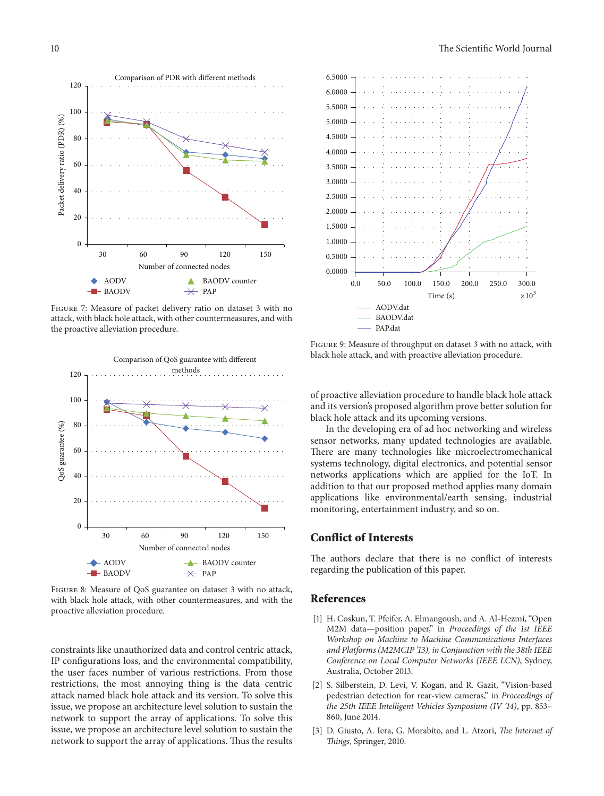

Figure 7: Measure of packet delivery ratio on dataset 3 with no attack, with black hole attack, with other countermeasures, and with the proactive alleviation procedure.



Figure 8: Measure of QoS guarantee on dataset 3 with no attack, with black hole attack, with other countermeasures, and with the proactive alleviation procedure.

constraints like unauthorized data and control centric attack, IP configurations loss, and the environmental compatibility, the user faces number of various restrictions. From those restrictions, the most annoying thing is the data centric attack named black hole attack and its version. To solve this issue, we propose an architecture level solution to sustain the network to support the array of applications. To solve this issue, we propose an architecture level solution to sustain the network to support the array of applications. Thus the results



Figure 9: Measure of throughput on dataset 3 with no attack, with black hole attack, and with proactive alleviation procedure.

of proactive alleviation procedure to handle black hole attack and its version's proposed algorithm prove better solution for black hole attack and its upcoming versions.

In the developing era of ad hoc networking and wireless sensor networks, many updated technologies are available. There are many technologies like microelectromechanical systems technology, digital electronics, and potential sensor networks applications which are applied for the IoT. In addition to that our proposed method applies many domain applications like environmental/earth sensing, industrial monitoring, entertainment industry, and so on.

### **Conflict of Interests**

The authors declare that there is no conflict of interests regarding the publication of this paper.

### **References**

- [1] H. Coskun, T. Pfeifer, A. Elmangoush, and A. Al-Hezmi, "Open M2M data—position paper," in *Proceedings of the 1st IEEE Workshop on Machine to Machine Communications Interfaces and Platforms (M2MCIP '13), in Conjunction with the 38th IEEE Conference on Local Computer Networks (IEEE LCN)*, Sydney, Australia, October 2013.
- [2] S. Silberstein, D. Levi, V. Kogan, and R. Gazit, "Vision-based pedestrian detection for rear-view cameras," in *Proceedings of the 25th IEEE Intelligent Vehicles Symposium (IV '14)*, pp. 853– 860, June 2014.
- [3] D. Giusto, A. Iera, G. Morabito, and L. Atzori, *The Internet of Things*, Springer, 2010.